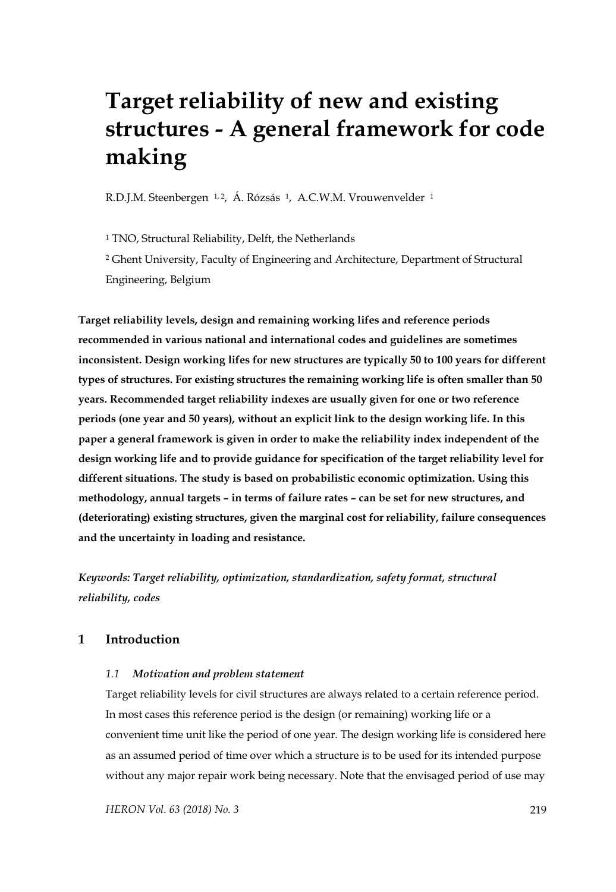# **Target reliability of new and existing structures - A general framework for code making**

R.D.J.M. Steenbergen <sup>1, 2</sup>, Á. Rózsás <sup>1</sup>, A.C.W.M. Vrouwenvelder <sup>1</sup>

1 TNO, Structural Reliability, Delft, the Netherlands

2 Ghent University, Faculty of Engineering and Architecture, Department of Structural Engineering, Belgium

**Target reliability levels, design and remaining working lifes and reference periods recommended in various national and international codes and guidelines are sometimes inconsistent. Design working lifes for new structures are typically 50 to 100 years for different types of structures. For existing structures the remaining working life is often smaller than 50 years. Recommended target reliability indexes are usually given for one or two reference periods (one year and 50 years), without an explicit link to the design working life. In this paper a general framework is given in order to make the reliability index independent of the design working life and to provide guidance for specification of the target reliability level for different situations. The study is based on probabilistic economic optimization. Using this methodology, annual targets – in terms of failure rates – can be set for new structures, and (deteriorating) existing structures, given the marginal cost for reliability, failure consequences and the uncertainty in loading and resistance.** 

*Keywords: Target reliability, optimization, standardization, safety format, structural reliability, codes* 

## **1 Introduction**

## *1.1 Motivation and problem statement*

Target reliability levels for civil structures are always related to a certain reference period. In most cases this reference period is the design (or remaining) working life or a convenient time unit like the period of one year. The design working life is considered here as an assumed period of time over which a structure is to be used for its intended purpose without any major repair work being necessary. Note that the envisaged period of use may

*HERON Vol. 63 (2018) No. 3* 219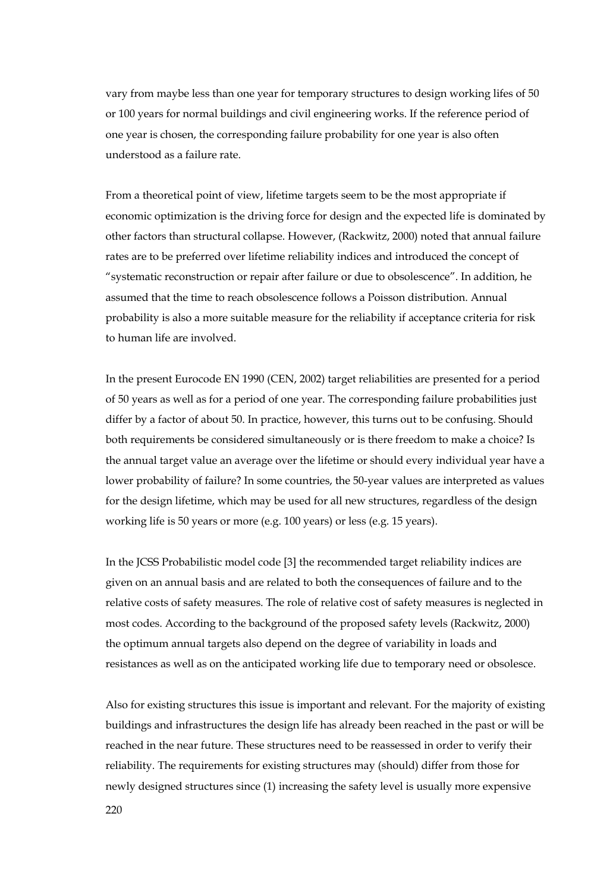vary from maybe less than one year for temporary structures to design working lifes of 50 or 100 years for normal buildings and civil engineering works. If the reference period of one year is chosen, the corresponding failure probability for one year is also often understood as a failure rate.

From a theoretical point of view, lifetime targets seem to be the most appropriate if economic optimization is the driving force for design and the expected life is dominated by other factors than structural collapse. However, (Rackwitz, 2000) noted that annual failure rates are to be preferred over lifetime reliability indices and introduced the concept of "systematic reconstruction or repair after failure or due to obsolescence". In addition, he assumed that the time to reach obsolescence follows a Poisson distribution. Annual probability is also a more suitable measure for the reliability if acceptance criteria for risk to human life are involved.

In the present Eurocode EN 1990 (CEN, 2002) target reliabilities are presented for a period of 50 years as well as for a period of one year. The corresponding failure probabilities just differ by a factor of about 50. In practice, however, this turns out to be confusing. Should both requirements be considered simultaneously or is there freedom to make a choice? Is the annual target value an average over the lifetime or should every individual year have a lower probability of failure? In some countries, the 50-year values are interpreted as values for the design lifetime, which may be used for all new structures, regardless of the design working life is 50 years or more (e.g. 100 years) or less (e.g. 15 years).

In the JCSS Probabilistic model code [3] the recommended target reliability indices are given on an annual basis and are related to both the consequences of failure and to the relative costs of safety measures. The role of relative cost of safety measures is neglected in most codes. According to the background of the proposed safety levels (Rackwitz, 2000) the optimum annual targets also depend on the degree of variability in loads and resistances as well as on the anticipated working life due to temporary need or obsolesce.

Also for existing structures this issue is important and relevant. For the majority of existing buildings and infrastructures the design life has already been reached in the past or will be reached in the near future. These structures need to be reassessed in order to verify their reliability. The requirements for existing structures may (should) differ from those for newly designed structures since (1) increasing the safety level is usually more expensive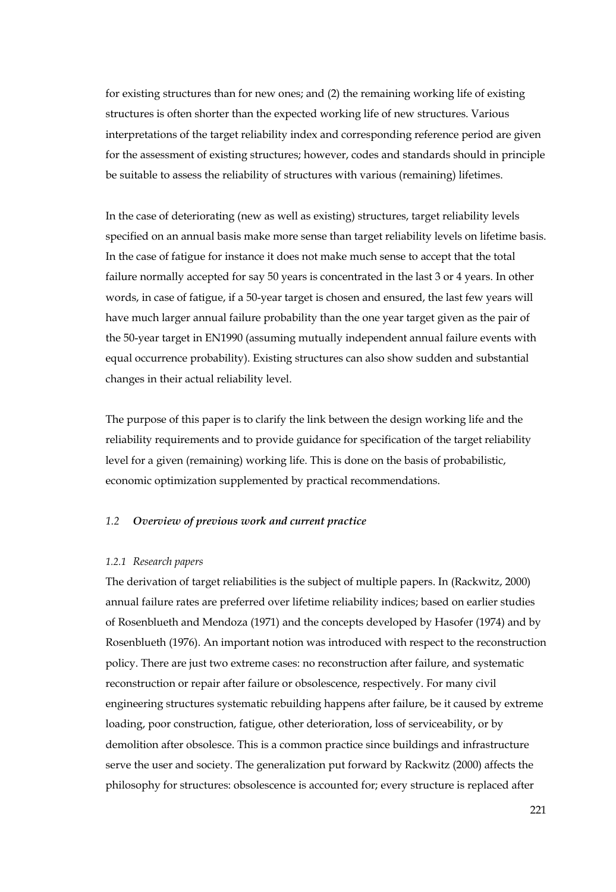for existing structures than for new ones; and (2) the remaining working life of existing structures is often shorter than the expected working life of new structures. Various interpretations of the target reliability index and corresponding reference period are given for the assessment of existing structures; however, codes and standards should in principle be suitable to assess the reliability of structures with various (remaining) lifetimes.

In the case of deteriorating (new as well as existing) structures, target reliability levels specified on an annual basis make more sense than target reliability levels on lifetime basis. In the case of fatigue for instance it does not make much sense to accept that the total failure normally accepted for say 50 years is concentrated in the last 3 or 4 years. In other words, in case of fatigue, if a 50-year target is chosen and ensured, the last few years will have much larger annual failure probability than the one year target given as the pair of the 50-year target in EN1990 (assuming mutually independent annual failure events with equal occurrence probability). Existing structures can also show sudden and substantial changes in their actual reliability level.

The purpose of this paper is to clarify the link between the design working life and the reliability requirements and to provide guidance for specification of the target reliability level for a given (remaining) working life. This is done on the basis of probabilistic, economic optimization supplemented by practical recommendations.

#### *1.2 Overview of previous work and current practice*

#### *1.2.1 Research papers*

The derivation of target reliabilities is the subject of multiple papers. In (Rackwitz, 2000) annual failure rates are preferred over lifetime reliability indices; based on earlier studies of Rosenblueth and Mendoza (1971) and the concepts developed by Hasofer (1974) and by Rosenblueth (1976). An important notion was introduced with respect to the reconstruction policy. There are just two extreme cases: no reconstruction after failure, and systematic reconstruction or repair after failure or obsolescence, respectively. For many civil engineering structures systematic rebuilding happens after failure, be it caused by extreme loading, poor construction, fatigue, other deterioration, loss of serviceability, or by demolition after obsolesce. This is a common practice since buildings and infrastructure serve the user and society. The generalization put forward by Rackwitz (2000) affects the philosophy for structures: obsolescence is accounted for; every structure is replaced after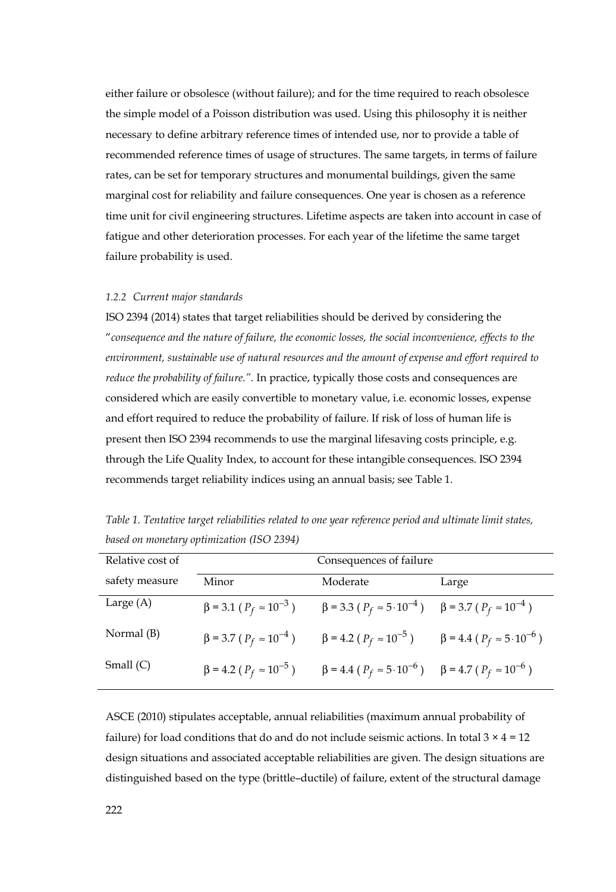either failure or obsolesce (without failure); and for the time required to reach obsolesce the simple model of a Poisson distribution was used. Using this philosophy it is neither necessary to define arbitrary reference times of intended use, nor to provide a table of recommended reference times of usage of structures. The same targets, in terms of failure rates, can be set for temporary structures and monumental buildings, given the same marginal cost for reliability and failure consequences. One year is chosen as a reference time unit for civil engineering structures. Lifetime aspects are taken into account in case of fatigue and other deterioration processes. For each year of the lifetime the same target failure probability is used.

#### *1.2.2 Current major standards*

ISO 2394 (2014) states that target reliabilities should be derived by considering the "*consequence and the nature of failure, the economic losses, the social inconvenience, effects to the environment, sustainable use of natural resources and the amount of expense and effort required to reduce the probability of failure.".* In practice, typically those costs and consequences are considered which are easily convertible to monetary value, i.e. economic losses, expense and effort required to reduce the probability of failure. If risk of loss of human life is present then ISO 2394 recommends to use the marginal lifesaving costs principle, e.g. through the Life Quality Index, to account for these intangible consequences. ISO 2394 recommends target reliability indices using an annual basis; see Table 1.

| Relative cost of | Consequences of failure                 |                                                                                         |       |  |
|------------------|-----------------------------------------|-----------------------------------------------------------------------------------------|-------|--|
| safety measure   | Minor                                   | Moderate                                                                                | Large |  |
| Large $(A)$      | $\beta$ = 3.1 ( $P_f \approx 10^{-3}$ ) | $\beta$ = 3.3 ( $P_f \approx 5 \cdot 10^{-4}$ ) $\beta$ = 3.7 ( $P_f \approx 10^{-4}$ ) |       |  |
| Normal (B)       | $\beta$ = 3.7 ( $P_f \approx 10^{-4}$ ) | $\beta = 4.2 (P_f \approx 10^{-5})$ $\beta = 4.4 (P_f \approx 5.10^{-6})$               |       |  |
| Small $(C)$      | $\beta$ = 4.2 ( $P_f \approx 10^{-5}$ ) | $\beta = 4.4 (P_f \approx 5.10^{-6})$ $\beta = 4.7 (P_f \approx 10^{-6})$               |       |  |

*Table 1. Tentative target reliabilities related to one year reference period and ultimate limit states, based on monetary optimization (ISO 2394)* 

ASCE (2010) stipulates acceptable, annual reliabilities (maximum annual probability of failure) for load conditions that do and do not include seismic actions. In total  $3 \times 4 = 12$ design situations and associated acceptable reliabilities are given. The design situations are distinguished based on the type (brittle–ductile) of failure, extent of the structural damage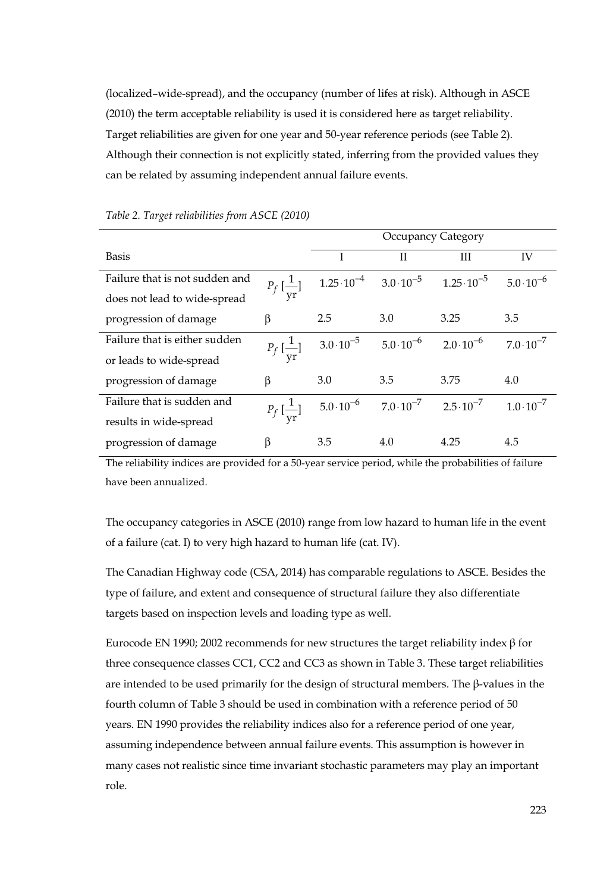(localized–wide-spread), and the occupancy (number of lifes at risk). Although in ASCE (2010) the term acceptable reliability is used it is considered here as target reliability. Target reliabilities are given for one year and 50-year reference periods (see Table 2). Although their connection is not explicitly stated, inferring from the provided values they can be related by assuming independent annual failure events.

|                                |                                       | Occupancy Category                       |     |                      |                     |
|--------------------------------|---------------------------------------|------------------------------------------|-----|----------------------|---------------------|
| <b>Basis</b>                   |                                       |                                          | Н   | Ш                    | IV                  |
| Failure that is not sudden and | $P_f\left[\frac{1}{\text{yr}}\right]$ | $1.25 \cdot 10^{-4}$ $3.0 \cdot 10^{-5}$ |     | $1.25 \cdot 10^{-5}$ | $5.0 \cdot 10^{-6}$ |
| does not lead to wide-spread   |                                       |                                          |     |                      |                     |
| progression of damage          | β                                     | 2.5                                      | 3.0 | 3.25                 | 3.5                 |
| Failure that is either sudden  | $P_f\left[\frac{1}{\text{yr}}\right]$ | $3.0 \cdot 10^{-5}$ $5.0 \cdot 10^{-6}$  |     | $2.0 \cdot 10^{-6}$  | $7.0 \cdot 10^{-7}$ |
| or leads to wide-spread        |                                       |                                          |     |                      |                     |
| progression of damage          | β                                     | 3.0                                      | 3.5 | 3.75                 | 4.0                 |
| Failure that is sudden and     | $P_f\left[\frac{1}{\text{vr}}\right]$ | $5.0 \cdot 10^{-6}$ $7.0 \cdot 10^{-7}$  |     | $2.5 \cdot 10^{-7}$  | $1.0 \cdot 10^{-7}$ |
| results in wide-spread         |                                       |                                          |     |                      |                     |
| progression of damage          | β                                     | 3.5                                      | 4.0 | 4.25                 | 4.5                 |

*Table 2. Target reliabilities from ASCE (2010)*

The reliability indices are provided for a 50-year service period, while the probabilities of failure have been annualized.

The occupancy categories in ASCE (2010) range from low hazard to human life in the event of a failure (cat. I) to very high hazard to human life (cat. IV).

The Canadian Highway code (CSA, 2014) has comparable regulations to ASCE. Besides the type of failure, and extent and consequence of structural failure they also differentiate targets based on inspection levels and loading type as well.

Eurocode EN 1990; 2002 recommends for new structures the target reliability index β for three consequence classes CC1, CC2 and CC3 as shown in Table 3. These target reliabilities are intended to be used primarily for the design of structural members. The β-values in the fourth column of Table 3 should be used in combination with a reference period of 50 years. EN 1990 provides the reliability indices also for a reference period of one year, assuming independence between annual failure events. This assumption is however in many cases not realistic since time invariant stochastic parameters may play an important role.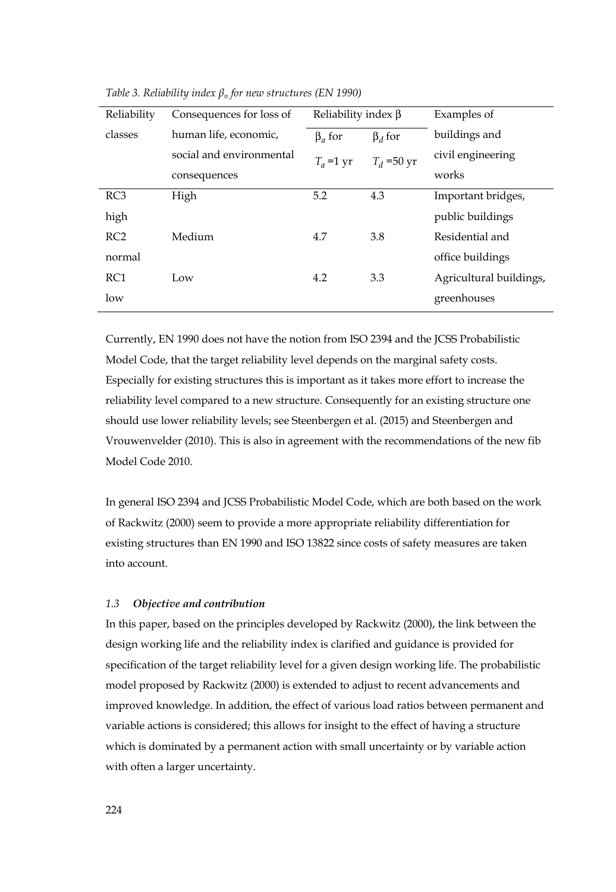| Reliability     | Consequences for loss of | Reliability index $\beta$ |               | Examples of             |
|-----------------|--------------------------|---------------------------|---------------|-------------------------|
| classes         | human life, economic,    | $\beta$ <sub>a</sub> for  | $\beta_d$ for | buildings and           |
|                 | social and environmental | $T_a$ =1 yr               | $T_d$ =50 yr  | civil engineering       |
|                 | consequences             |                           |               | works                   |
| RC3             | High                     | 5.2                       | 4.3           | Important bridges,      |
| high            |                          |                           |               | public buildings        |
| RC2             | Medium                   | 4.7                       | 3.8           | Residential and         |
| normal          |                          |                           |               | office buildings        |
| RC <sub>1</sub> | Low                      | 4.2                       | 3.3           | Agricultural buildings, |
| low             |                          |                           |               | greenhouses             |

*Table 3. Reliability index βn for new structures (EN 1990)* 

Currently, EN 1990 does not have the notion from ISO 2394 and the JCSS Probabilistic Model Code, that the target reliability level depends on the marginal safety costs. Especially for existing structures this is important as it takes more effort to increase the reliability level compared to a new structure. Consequently for an existing structure one should use lower reliability levels; see Steenbergen et al. (2015) and Steenbergen and Vrouwenvelder (2010). This is also in agreement with the recommendations of the new fib Model Code 2010.

In general ISO 2394 and JCSS Probabilistic Model Code, which are both based on the work of Rackwitz (2000) seem to provide a more appropriate reliability differentiation for existing structures than EN 1990 and ISO 13822 since costs of safety measures are taken into account.

## *1.3 Objective and contribution*

In this paper, based on the principles developed by Rackwitz (2000), the link between the design working life and the reliability index is clarified and guidance is provided for specification of the target reliability level for a given design working life. The probabilistic model proposed by Rackwitz (2000) is extended to adjust to recent advancements and improved knowledge. In addition, the effect of various load ratios between permanent and variable actions is considered; this allows for insight to the effect of having a structure which is dominated by a permanent action with small uncertainty or by variable action with often a larger uncertainty.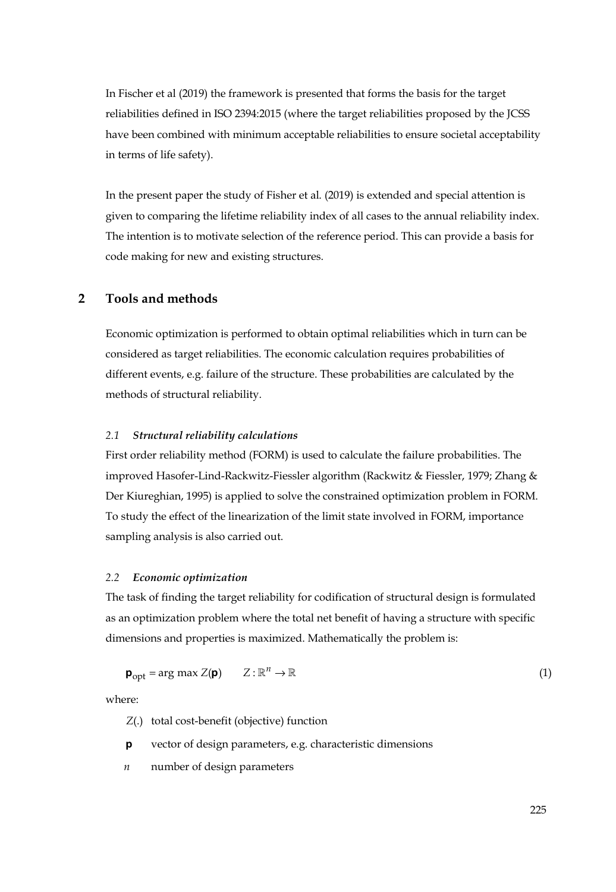In Fischer et al (2019) the framework is presented that forms the basis for the target reliabilities defined in ISO 2394:2015 (where the target reliabilities proposed by the JCSS have been combined with minimum acceptable reliabilities to ensure societal acceptability in terms of life safety).

In the present paper the study of Fisher et al. (2019) is extended and special attention is given to comparing the lifetime reliability index of all cases to the annual reliability index. The intention is to motivate selection of the reference period. This can provide a basis for code making for new and existing structures.

## **2 Tools and methods**

Economic optimization is performed to obtain optimal reliabilities which in turn can be considered as target reliabilities. The economic calculation requires probabilities of different events, e.g. failure of the structure. These probabilities are calculated by the methods of structural reliability.

## *2.1 Structural reliability calculations*

First order reliability method (FORM) is used to calculate the failure probabilities. The improved Hasofer-Lind-Rackwitz-Fiessler algorithm (Rackwitz & Fiessler, 1979; Zhang & Der Kiureghian, 1995) is applied to solve the constrained optimization problem in FORM. To study the effect of the linearization of the limit state involved in FORM, importance sampling analysis is also carried out.

## *2.2 Economic optimization*

The task of finding the target reliability for codification of structural design is formulated as an optimization problem where the total net benefit of having a structure with specific dimensions and properties is maximized. Mathematically the problem is:

$$
\mathbf{p}_{\text{opt}} = \arg \max Z(\mathbf{p}) \qquad Z : \mathbb{R}^n \to \mathbb{R} \tag{1}
$$

where:

*Z*(.) total cost-benefit (objective) function

**p** vector of design parameters, e.g. characteristic dimensions

*n* number of design parameters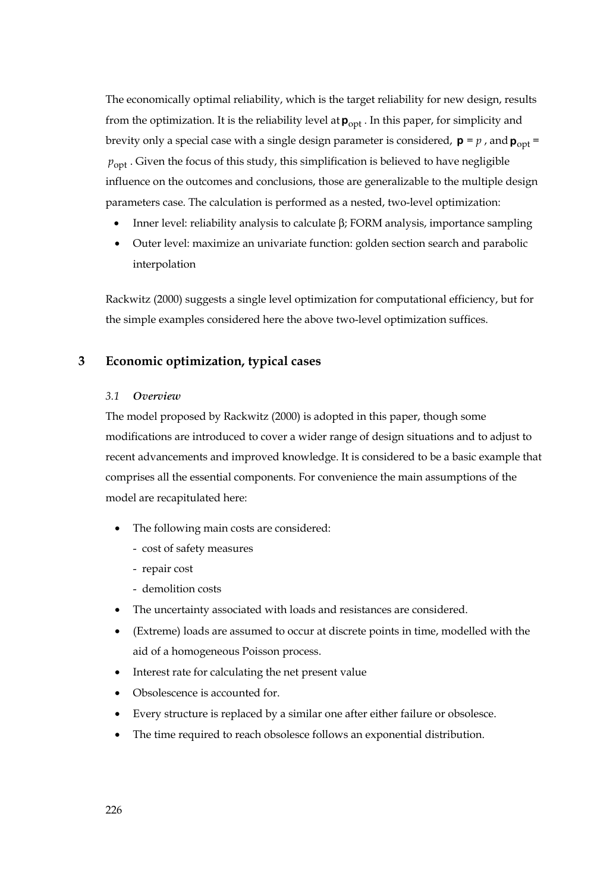The economically optimal reliability, which is the target reliability for new design, results from the optimization. It is the reliability level at  $p_{\text{opt}}$ . In this paper, for simplicity and brevity only a special case with a single design parameter is considered,  $\mathbf{p} = p$ , and  $\mathbf{p}_{\text{opt}} =$  $p_{\text{opt}}$ . Given the focus of this study, this simplification is believed to have negligible influence on the outcomes and conclusions, those are generalizable to the multiple design parameters case. The calculation is performed as a nested, two-level optimization:

- Inner level: reliability analysis to calculate β; FORM analysis, importance sampling
- Outer level: maximize an univariate function: golden section search and parabolic interpolation

Rackwitz (2000) suggests a single level optimization for computational efficiency, but for the simple examples considered here the above two-level optimization suffices.

## **3 Economic optimization, typical cases**

## *3.1 Overview*

The model proposed by Rackwitz (2000) is adopted in this paper, though some modifications are introduced to cover a wider range of design situations and to adjust to recent advancements and improved knowledge. It is considered to be a basic example that comprises all the essential components. For convenience the main assumptions of the model are recapitulated here:

- The following main costs are considered:
	- cost of safety measures
	- repair cost
	- demolition costs
- The uncertainty associated with loads and resistances are considered.
- (Extreme) loads are assumed to occur at discrete points in time, modelled with the aid of a homogeneous Poisson process.
- Interest rate for calculating the net present value
- Obsolescence is accounted for.
- Every structure is replaced by a similar one after either failure or obsolesce.
- The time required to reach obsolesce follows an exponential distribution.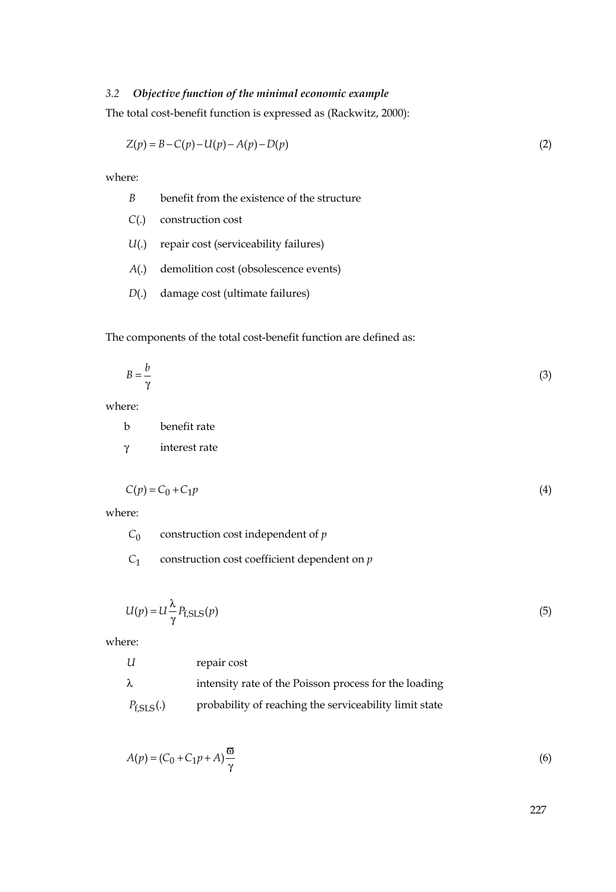## *3.2 Objective function of the minimal economic example*

The total cost-benefit function is expressed as (Rackwitz, 2000):

$$
Z(p) = B - C(p) - U(p) - A(p) - D(p)
$$
\n(2)

where:

- *B* benefit from the existence of the structure
- *C*(.) construction cost
- *U*(.) repair cost (serviceability failures)
- *A*(.) demolition cost (obsolescence events)
- *D*(.) damage cost (ultimate failures)

The components of the total cost-benefit function are defined as:

$$
B = \frac{b}{\gamma} \tag{3}
$$

where:

| h        | benefit rate  |
|----------|---------------|
| $\gamma$ | interest rate |

$$
C(p) = C_0 + C_1 p \tag{4}
$$

where:

| $C_0$ | construction cost independent of $p$ |
|-------|--------------------------------------|
|       |                                      |

*C*1 construction cost coefficient dependent on *p*

$$
U(p) = U \frac{\lambda}{\gamma} P_{\text{f},\text{SLS}}(p) \tag{5}
$$

where:

|                | repair cost                                            |
|----------------|--------------------------------------------------------|
| $\lambda$      | intensity rate of the Poisson process for the loading  |
| $P_{f,SLS}(.)$ | probability of reaching the serviceability limit state |

$$
A(p) = (C_0 + C_1 p + A) \frac{\varpi}{\gamma}
$$
\n<sup>(6)</sup>

227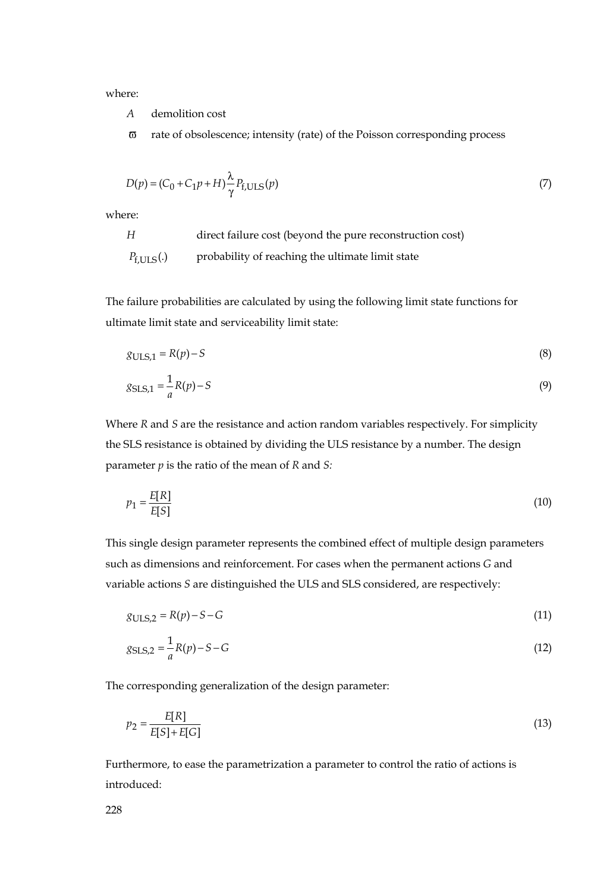where:

*A* demolition cost

ϖ rate of obsolescence; intensity (rate) of the Poisson corresponding process

$$
D(p) = (C_0 + C_1 p + H) \frac{\lambda}{\gamma} P_{f, ULS}(p)
$$
\n<sup>(7)</sup>

where:

*H* direct failure cost (beyond the pure reconstruction cost) *P*<sub>f.ULS</sub>(.) probability of reaching the ultimate limit state

The failure probabilities are calculated by using the following limit state functions for ultimate limit state and serviceability limit state:

$$
g_{\text{ULS},1} = R(p) - S \tag{8}
$$

$$
g_{\text{SLS},1} = \frac{1}{a}R(p) - S\tag{9}
$$

Where *R* and *S* are the resistance and action random variables respectively. For simplicity the SLS resistance is obtained by dividing the ULS resistance by a number. The design parameter *p* is the ratio of the mean of *R* and *S:*

$$
p_1 = \frac{E[R]}{E[S]} \tag{10}
$$

This single design parameter represents the combined effect of multiple design parameters such as dimensions and reinforcement. For cases when the permanent actions *G* and variable actions *S* are distinguished the ULS and SLS considered, are respectively:

$$
g_{\text{ULS},2} = R(p) - S - G \tag{11}
$$

$$
g_{\text{SLS},2} = \frac{1}{a}R(p) - S - G\tag{12}
$$

The corresponding generalization of the design parameter:

$$
p_2 = \frac{E[R]}{E[S] + E[G]} \tag{13}
$$

Furthermore, to ease the parametrization a parameter to control the ratio of actions is introduced: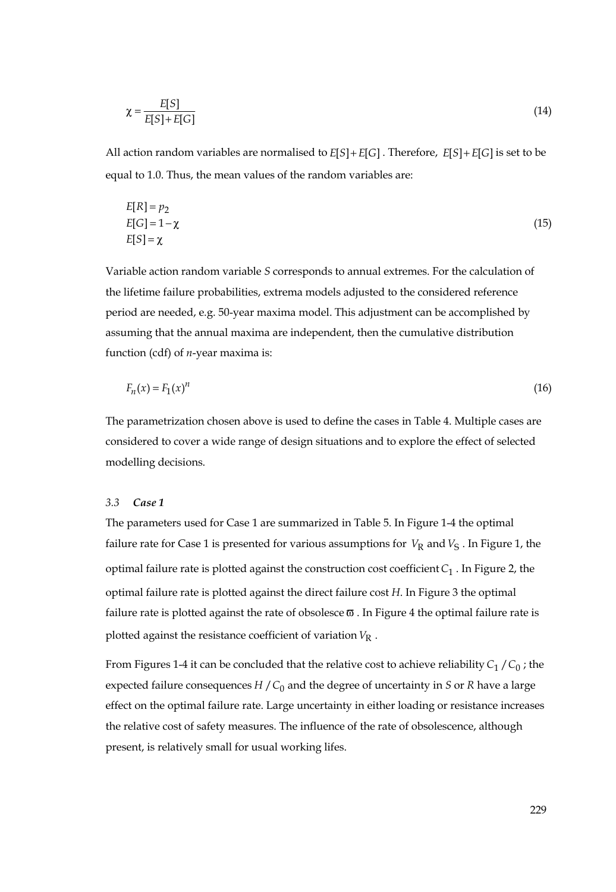$$
\chi = \frac{E[S]}{E[S] + E[G]} \tag{14}
$$

All action random variables are normalised to  $E[S] + E[G]$ . Therefore,  $E[S] + E[G]$  is set to be equal to 1.0. Thus, the mean values of the random variables are:

$$
E[R] = p_2
$$
  
\n
$$
E[G] = 1 - \chi
$$
  
\n
$$
E[S] = \chi
$$
\n(15)

Variable action random variable *S* corresponds to annual extremes. For the calculation of the lifetime failure probabilities, extrema models adjusted to the considered reference period are needed, e.g. 50-year maxima model. This adjustment can be accomplished by assuming that the annual maxima are independent, then the cumulative distribution function (cdf) of *n*-year maxima is:

$$
F_n(x) = F_1(x)^n \tag{16}
$$

The parametrization chosen above is used to define the cases in Table 4. Multiple cases are considered to cover a wide range of design situations and to explore the effect of selected modelling decisions.

#### *3.3 Case 1*

The parameters used for Case 1 are summarized in Table 5. In Figure 1-4 the optimal failure rate for Case 1 is presented for various assumptions for  $V_R$  and  $V_S$  . In Figure 1, the optimal failure rate is plotted against the construction cost coefficient*C*<sup>1</sup> . In Figure 2, the optimal failure rate is plotted against the direct failure cost *H*. In Figure 3 the optimal failure rate is plotted against the rate of obsolesce  $\varpi$  . In Figure 4 the optimal failure rate is plotted against the resistance coefficient of variation  $V_R$ .

From Figures 1-4 it can be concluded that the relative cost to achieve reliability  $C_1 / C_0$ ; the expected failure consequences  $H / C_0$  and the degree of uncertainty in *S* or *R* have a large effect on the optimal failure rate. Large uncertainty in either loading or resistance increases the relative cost of safety measures. The influence of the rate of obsolescence, although present, is relatively small for usual working lifes.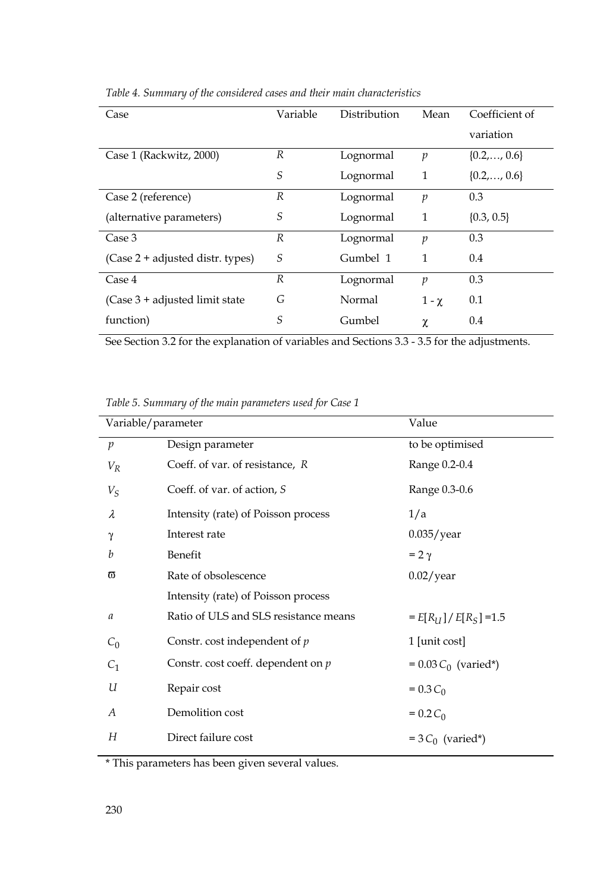| Case                              | Variable       | Distribution | Mean             | Coefficient of       |
|-----------------------------------|----------------|--------------|------------------|----------------------|
|                                   |                |              |                  | variation            |
|                                   |                |              |                  |                      |
| Case 1 (Rackwitz, 2000)           | R              | Lognormal    | $\mathfrak{p}$   | $\{0.2,\ldots,0.6\}$ |
|                                   | S              | Lognormal    | 1                | $\{0.2,, 0.6\}$      |
|                                   |                |              |                  |                      |
| Case 2 (reference)                | R              | Lognormal    | $\mathcal{D}$    | 0.3                  |
| (alternative parameters)          | S              | Lognormal    | 1                | $\{0.3, 0.5\}$       |
|                                   |                |              |                  |                      |
| Case 3                            | R              | Lognormal    | $\boldsymbol{p}$ | 0.3                  |
| (Case 2 + adjusted distr. types)  | S              | Gumbel 1     | 1                | 0.4                  |
|                                   |                |              |                  |                      |
| Case 4                            | $\overline{R}$ | Lognormal    | $\mathcal{D}$    | 0.3                  |
| $(Case 3 + adjusted limit state)$ | G              | Normal       | $1 - \chi$       | 0.1                  |
|                                   |                |              |                  |                      |
| function)                         | S              | Gumbel       | χ                | 0.4                  |
|                                   |                |              |                  |                      |

*Table 4. Summary of the considered cases and their main characteristics* 

See Section 3.2 for the explanation of variables and Sections 3.3 - 3.5 for the adjustments.

*Table 5. Summary of the main parameters used for Case 1* 

| Variable/parameter |                                       | Value                  |
|--------------------|---------------------------------------|------------------------|
| $\boldsymbol{p}$   | Design parameter                      | to be optimised        |
| $V_R$              | Coeff. of var. of resistance, R       | Range 0.2-0.4          |
| $V_S$              | Coeff. of var. of action, S           | Range 0.3-0.6          |
| $\lambda$          | Intensity (rate) of Poisson process   | 1/a                    |
| γ                  | Interest rate                         | $0.035$ /year          |
| h                  | Benefit                               | $= 2 \gamma$           |
| ω                  | Rate of obsolescence                  | $0.02$ /year           |
|                    | Intensity (rate) of Poisson process   |                        |
| $\mathfrak a$      | Ratio of ULS and SLS resistance means | $E[R_U]/E[R_S] = 1.5$  |
| $C_0$              | Constr. cost independent of $p$       | 1 [unit cost]          |
| $C_{1}$            | Constr. cost coeff. dependent on $p$  | $= 0.03 C_0$ (varied*) |
| U                  | Repair cost                           | $= 0.3 C_0$            |
| A                  | Demolition cost                       | $= 0.2 C_0$            |
| Н                  | Direct failure cost                   | $=3 C_0$ (varied*)     |

\* This parameters has been given several values.

L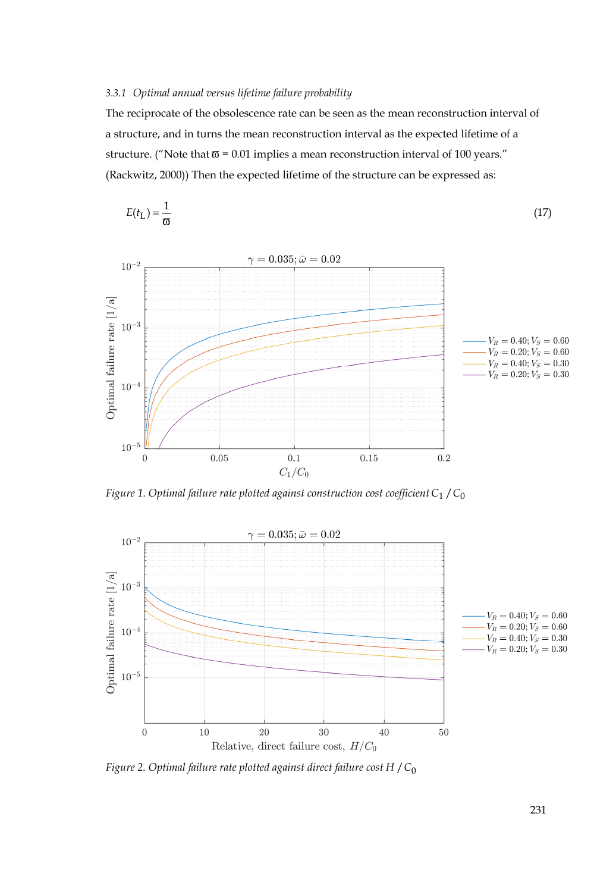## *3.3.1 Optimal annual versus lifetime failure probability*

The reciprocate of the obsolescence rate can be seen as the mean reconstruction interval of a structure, and in turns the mean reconstruction interval as the expected lifetime of a structure. ("Note that  $\overline{\omega}$  = 0.01 implies a mean reconstruction interval of 100 years." (Rackwitz, 2000)) Then the expected lifetime of the structure can be expressed as:

$$
E(t_{\rm L}) = \frac{1}{\varpi} \tag{17}
$$



*Figure 1. Optimal failure rate plotted against construction cost coefficient*  $C_1 / C_0$ 



*Figure 2. Optimal failure rate plotted against direct failure cost H / C*<sub>0</sub>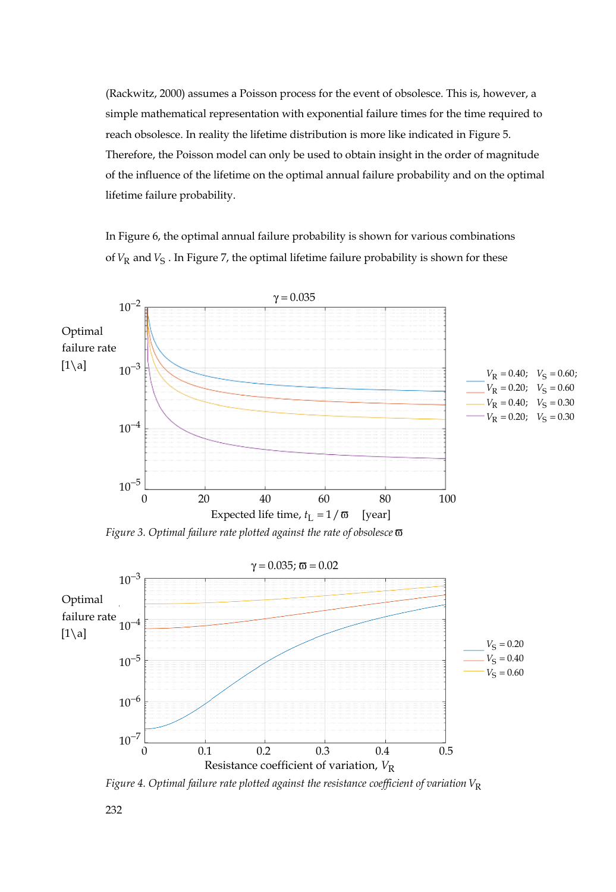(Rackwitz, 2000) assumes a Poisson process for the event of obsolesce. This is, however, a simple mathematical representation with exponential failure times for the time required to reach obsolesce. In reality the lifetime distribution is more like indicated in Figure 5. Therefore, the Poisson model can only be used to obtain insight in the order of magnitude of the influence of the lifetime on the optimal annual failure probability and on the optimal lifetime failure probability.

In Figure 6, the optimal annual failure probability is shown for various combinations of  $V_R$  and  $V_S$ . In Figure 7, the optimal lifetime failure probability is shown for these



*Figure 3. Optimal failure rate plotted against the rate of obsolesce* ϖ



*Figure 4. Optimal failure rate plotted against the resistance coefficient of variation*  $V_R$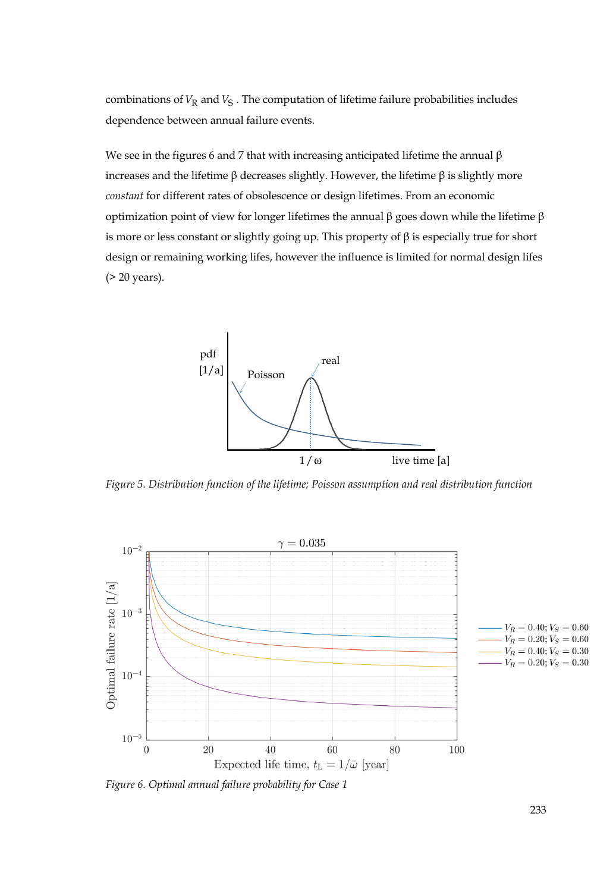combinations of  $V_R$  and  $V_S$ . The computation of lifetime failure probabilities includes dependence between annual failure events.

We see in the figures 6 and 7 that with increasing anticipated lifetime the annual  $\beta$ increases and the lifetime β decreases slightly. However, the lifetime β is slightly more *constant* for different rates of obsolescence or design lifetimes. From an economic optimization point of view for longer lifetimes the annual β goes down while the lifetime β is more or less constant or slightly going up. This property of  $\beta$  is especially true for short design or remaining working lifes, however the influence is limited for normal design lifes (> 20 years).



*Figure 5. Distribution function of the lifetime; Poisson assumption and real distribution function* 



*Figure 6. Optimal annual failure probability for Case 1*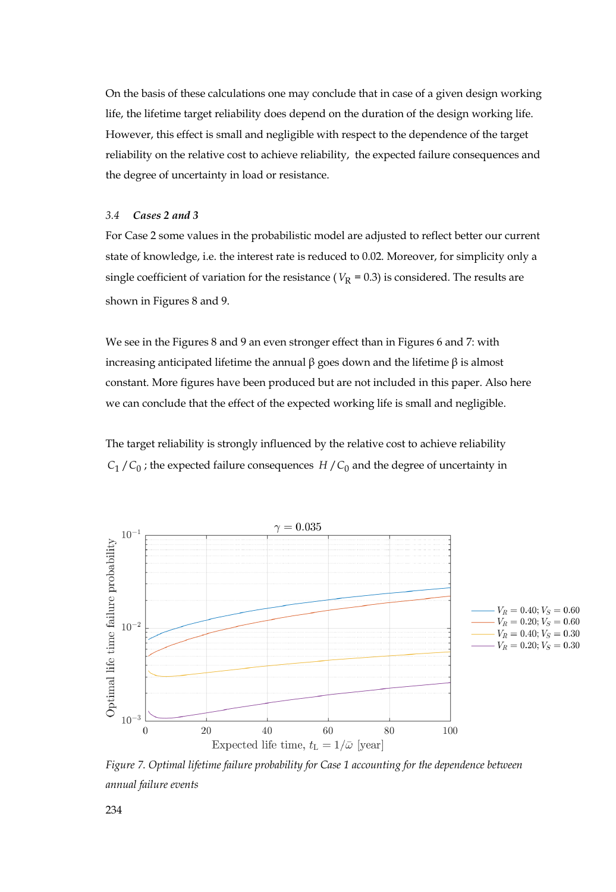On the basis of these calculations one may conclude that in case of a given design working life, the lifetime target reliability does depend on the duration of the design working life. However, this effect is small and negligible with respect to the dependence of the target reliability on the relative cost to achieve reliability, the expected failure consequences and the degree of uncertainty in load or resistance.

#### *3.4 Cases 2 and 3*

For Case 2 some values in the probabilistic model are adjusted to reflect better our current state of knowledge, i.e. the interest rate is reduced to 0.02. Moreover, for simplicity only a single coefficient of variation for the resistance ( $V_R$  = 0.3) is considered. The results are shown in Figures 8 and 9.

We see in the Figures 8 and 9 an even stronger effect than in Figures 6 and 7: with increasing anticipated lifetime the annual β goes down and the lifetime β is almost constant. More figures have been produced but are not included in this paper. Also here we can conclude that the effect of the expected working life is small and negligible.

The target reliability is strongly influenced by the relative cost to achieve reliability  $C_1 / C_0$ ; the expected failure consequences  $H / C_0$  and the degree of uncertainty in



*Figure 7. Optimal lifetime failure probability for Case 1 accounting for the dependence between annual failure events*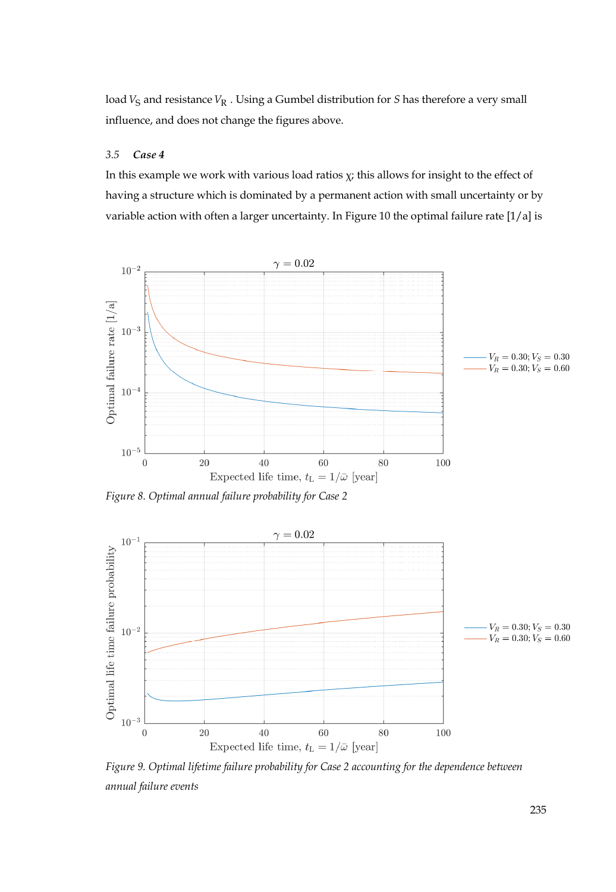load  $V_S$  and resistance  $V_R$ . Using a Gumbel distribution for *S* has therefore a very small influence, and does not change the figures above.

## *3.5 Case 4*

In this example we work with various load ratios  $\chi$ ; this allows for insight to the effect of having a structure which is dominated by a permanent action with small uncertainty or by variable action with often a larger uncertainty. In Figure 10 the optimal failure rate [1/a] is



*Figure 8. Optimal annual failure probability for Case 2* 



*Figure 9. Optimal lifetime failure probability for Case 2 accounting for the dependence between annual failure events*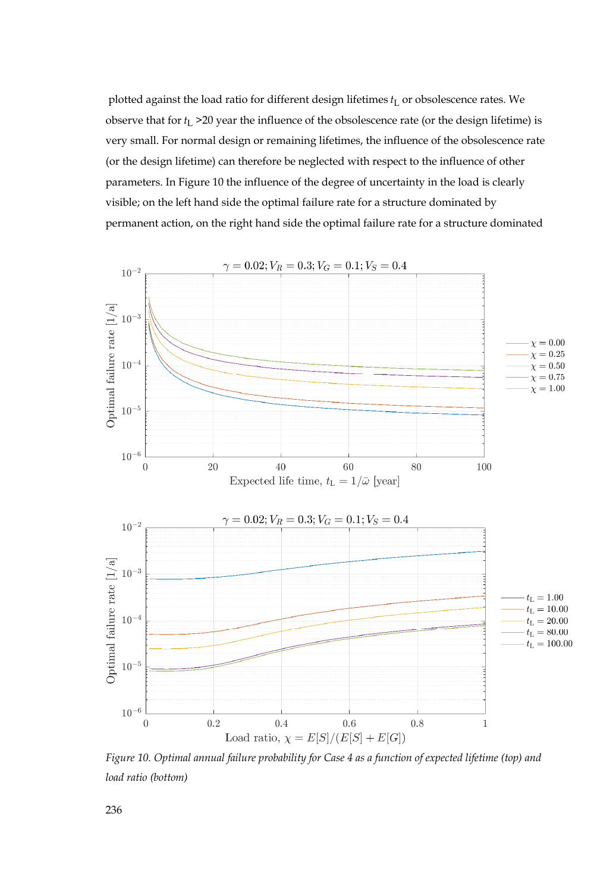plotted against the load ratio for different design lifetimes  $t_L$  or obsolescence rates. We observe that for  $t_L$  >20 year the influence of the obsolescence rate (or the design lifetime) is very small. For normal design or remaining lifetimes, the influence of the obsolescence rate (or the design lifetime) can therefore be neglected with respect to the influence of other parameters. In Figure 10 the influence of the degree of uncertainty in the load is clearly visible; on the left hand side the optimal failure rate for a structure dominated by permanent action, on the right hand side the optimal failure rate for a structure dominated



*Figure 10. Optimal annual failure probability for Case 4 as a function of expected lifetime (top) and load ratio (bottom)*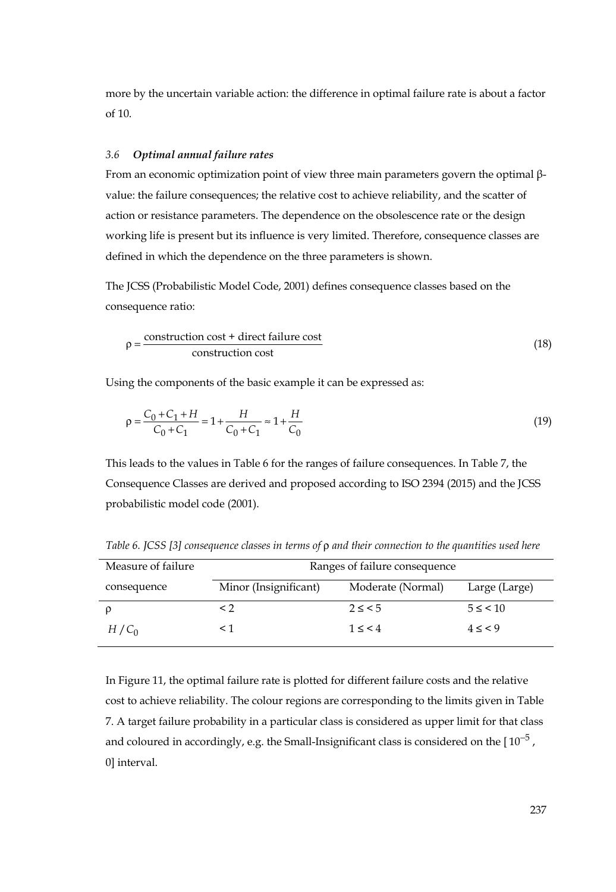more by the uncertain variable action: the difference in optimal failure rate is about a factor of 10.

## *3.6 Optimal annual failure rates*

From an economic optimization point of view three main parameters govern the optimal βvalue: the failure consequences; the relative cost to achieve reliability, and the scatter of action or resistance parameters. The dependence on the obsolescence rate or the design working life is present but its influence is very limited. Therefore, consequence classes are defined in which the dependence on the three parameters is shown.

The JCSS (Probabilistic Model Code, 2001) defines consequence classes based on the consequence ratio:

$$
\rho = \frac{\text{construction cost} + \text{direct failure cost}}{\text{construction cost}}
$$
\n(18)

Using the components of the basic example it can be expressed as:

$$
\rho = \frac{C_0 + C_1 + H}{C_0 + C_1} = 1 + \frac{H}{C_0 + C_1} \approx 1 + \frac{H}{C_0}
$$
\n(19)

This leads to the values in Table 6 for the ranges of failure consequences. In Table 7, the Consequence Classes are derived and proposed according to ISO 2394 (2015) and the JCSS probabilistic model code (2001).

| Measure of failure | Ranges of failure consequence |                   |               |  |
|--------------------|-------------------------------|-------------------|---------------|--|
| consequence        | Minor (Insignificant)         | Moderate (Normal) | Large (Large) |  |
|                    | < 2                           | $2 \leq 5$        | $5 \leq$ < 10 |  |
| $H/C_0$            |                               | 1 < 4             | $4 \leq 9$    |  |

*Table 6. JCSS [3] consequence classes in terms of*  $ρ$  *and their connection to the quantities used here* 

In Figure 11, the optimal failure rate is plotted for different failure costs and the relative cost to achieve reliability. The colour regions are corresponding to the limits given in Table 7. A target failure probability in a particular class is considered as upper limit for that class and coloured in accordingly, e.g. the Small-Insignificant class is considered on the  $[10^{-5}$ , 0] interval.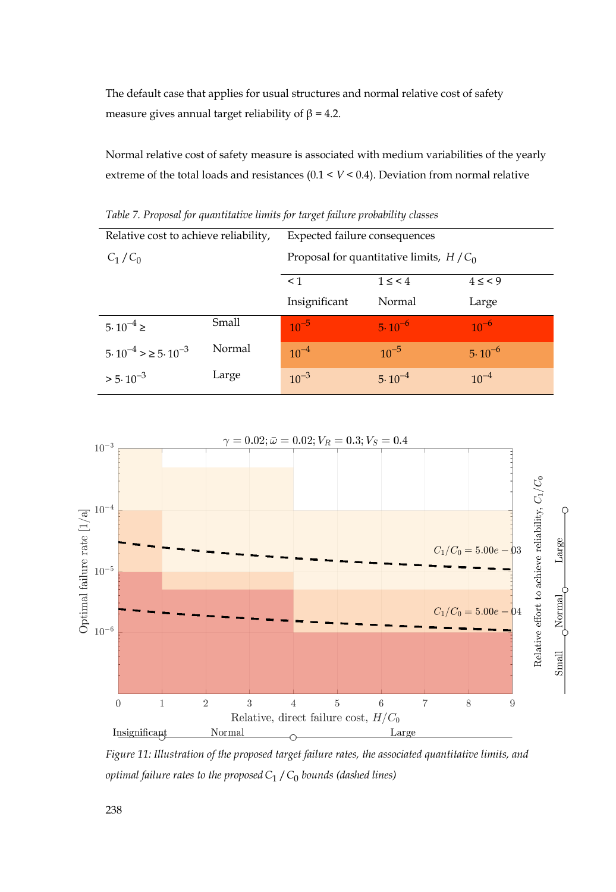The default case that applies for usual structures and normal relative cost of safety measure gives annual target reliability of  $β = 4.2$ .

Normal relative cost of safety measure is associated with medium variabilities of the yearly extreme of the total loads and resistances (0.1 < *V* < 0.4). Deviation from normal relative

| Relative cost to achieve reliability,     |        | Expected failure consequences             |                |                 |  |
|-------------------------------------------|--------|-------------------------------------------|----------------|-----------------|--|
| $C_1/C_0$                                 |        | Proposal for quantitative limits, $H/C_0$ |                |                 |  |
|                                           |        | < 1                                       | $1 \leq \lt 4$ | $4 \leq \leq 9$ |  |
|                                           |        | Insignificant                             | Normal         | Large           |  |
| $5.10^{-4} \ge$                           | Small  | $10^{-5}$                                 | $5.10^{-6}$    | $10^{-6}$       |  |
| $5 \cdot 10^{-4}$ > $\ge 5 \cdot 10^{-3}$ | Normal | $10^{-4}$                                 | $10^{-5}$      | $5.10^{-6}$     |  |
| $> 5.10^{-3}$                             | Large  | $10^{-3}$                                 | $5.10^{-4}$    | $10^{-4}$       |  |

*Table 7. Proposal for quantitative limits for target failure probability classes* 



*Figure 11: Illustration of the proposed target failure rates, the associated quantitative limits, and optimal failure rates to the proposed*  $C_1 / C_0$  *bounds (dashed lines)*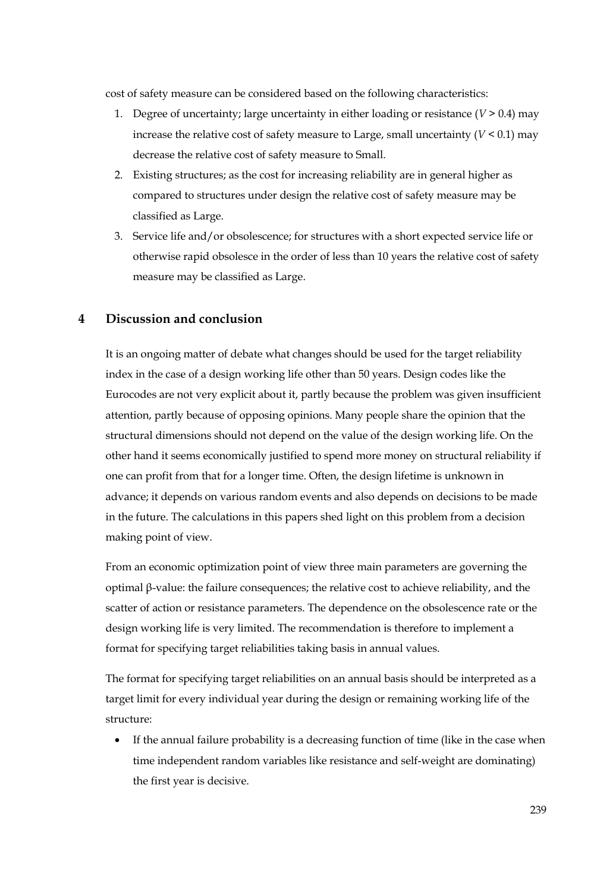cost of safety measure can be considered based on the following characteristics:

- 1. Degree of uncertainty; large uncertainty in either loading or resistance  $(V > 0.4)$  may increase the relative cost of safety measure to Large, small uncertainty  $(V < 0.1)$  may decrease the relative cost of safety measure to Small.
- 2. Existing structures; as the cost for increasing reliability are in general higher as compared to structures under design the relative cost of safety measure may be classified as Large.
- 3. Service life and/or obsolescence; for structures with a short expected service life or otherwise rapid obsolesce in the order of less than 10 years the relative cost of safety measure may be classified as Large.

# **4 Discussion and conclusion**

It is an ongoing matter of debate what changes should be used for the target reliability index in the case of a design working life other than 50 years. Design codes like the Eurocodes are not very explicit about it, partly because the problem was given insufficient attention, partly because of opposing opinions. Many people share the opinion that the structural dimensions should not depend on the value of the design working life. On the other hand it seems economically justified to spend more money on structural reliability if one can profit from that for a longer time. Often, the design lifetime is unknown in advance; it depends on various random events and also depends on decisions to be made in the future. The calculations in this papers shed light on this problem from a decision making point of view.

From an economic optimization point of view three main parameters are governing the optimal β-value: the failure consequences; the relative cost to achieve reliability, and the scatter of action or resistance parameters. The dependence on the obsolescence rate or the design working life is very limited. The recommendation is therefore to implement a format for specifying target reliabilities taking basis in annual values.

The format for specifying target reliabilities on an annual basis should be interpreted as a target limit for every individual year during the design or remaining working life of the structure:

If the annual failure probability is a decreasing function of time (like in the case when time independent random variables like resistance and self-weight are dominating) the first year is decisive.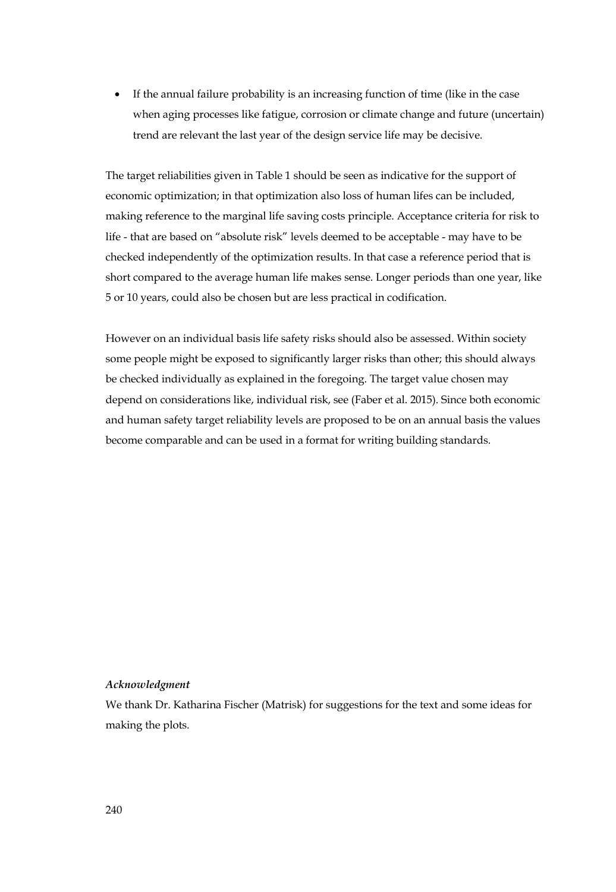• If the annual failure probability is an increasing function of time (like in the case when aging processes like fatigue, corrosion or climate change and future (uncertain) trend are relevant the last year of the design service life may be decisive.

The target reliabilities given in Table 1 should be seen as indicative for the support of economic optimization; in that optimization also loss of human lifes can be included, making reference to the marginal life saving costs principle. Acceptance criteria for risk to life - that are based on "absolute risk" levels deemed to be acceptable - may have to be checked independently of the optimization results. In that case a reference period that is short compared to the average human life makes sense. Longer periods than one year, like 5 or 10 years, could also be chosen but are less practical in codification.

However on an individual basis life safety risks should also be assessed. Within society some people might be exposed to significantly larger risks than other; this should always be checked individually as explained in the foregoing. The target value chosen may depend on considerations like, individual risk, see (Faber et al. 2015). Since both economic and human safety target reliability levels are proposed to be on an annual basis the values become comparable and can be used in a format for writing building standards.

#### *Acknowledgment*

We thank Dr. Katharina Fischer (Matrisk) for suggestions for the text and some ideas for making the plots.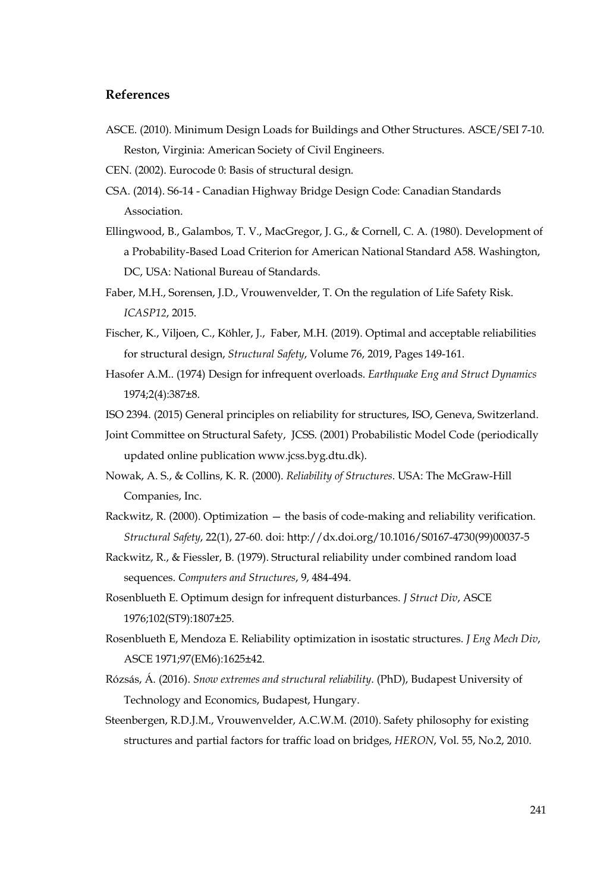## **References**

- ASCE. (2010). Minimum Design Loads for Buildings and Other Structures. ASCE/SEI 7-10. Reston, Virginia: American Society of Civil Engineers.
- CEN. (2002). Eurocode 0: Basis of structural design.
- CSA. (2014). S6-14 Canadian Highway Bridge Design Code: Canadian Standards Association.
- Ellingwood, B., Galambos, T. V., MacGregor, J. G., & Cornell, C. A. (1980). Development of a Probability-Based Load Criterion for American National Standard A58. Washington, DC, USA: National Bureau of Standards.
- Faber, M.H., Sorensen, J.D., Vrouwenvelder, T. On the regulation of Life Safety Risk. *ICASP12*, 2015.
- Fischer, K., Viljoen, C., Köhler, J., Faber, M.H. (2019). Optimal and acceptable reliabilities for structural design, *Structural Safety*, Volume 76, 2019, Pages 149-161.
- Hasofer A.M.. (1974) Design for infrequent overloads. *Earthquake Eng and Struct Dynamics* 1974;2(4):387±8.
- ISO 2394. (2015) General principles on reliability for structures, ISO, Geneva, Switzerland.
- Joint Committee on Structural Safety, JCSS. (2001) Probabilistic Model Code (periodically updated online publication www.jcss.byg.dtu.dk).
- Nowak, A. S., & Collins, K. R. (2000). *Reliability of Structures*. USA: The McGraw-Hill Companies, Inc.
- Rackwitz, R. (2000). Optimization the basis of code-making and reliability verification. *Structural Safety*, 22(1), 27-60. doi: http://dx.doi.org/10.1016/S0167-4730(99)00037-5
- Rackwitz, R., & Fiessler, B. (1979). Structural reliability under combined random load sequences. *Computers and Structures*, 9, 484-494.
- Rosenblueth E. Optimum design for infrequent disturbances. *J Struct Div*, ASCE 1976;102(ST9):1807±25.
- Rosenblueth E, Mendoza E. Reliability optimization in isostatic structures. *J Eng Mech Div*, ASCE 1971;97(EM6):1625±42.
- Rózsás, Á. (2016). *Snow extremes and structural reliability*. (PhD), Budapest University of Technology and Economics, Budapest, Hungary.
- Steenbergen, R.D.J.M., Vrouwenvelder, A.C.W.M. (2010). Safety philosophy for existing structures and partial factors for traffic load on bridges, *HERON*, Vol. 55, No.2, 2010.